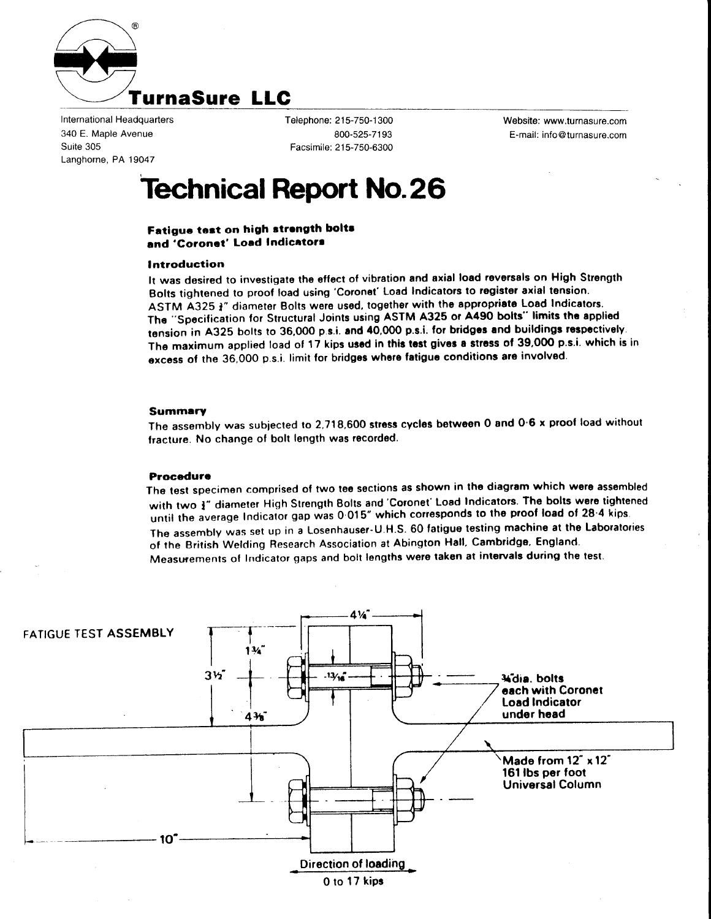

International Headquarters 340 E. Maple Avenue Suite 305 Langhorne, PA 19047

Telephone: 215-750-1300 800-525-71 93 Facsimile: 215-750-6300 Website: www.turnasure.com E-mail: info @turnasure.com

# Technical Report No.26

## Fatigue test on high strength bolts and 'Coronet' Load Indicators

#### lntroduction

lt was desired to investigate the eflect of vibration and axial load reversals on High Strength Bolts tightened to proof load using 'Coronet' Load Indicators to register axial tension. ASTM A325 a" diameter Bolts were used, together with the appropriate Load Indicators. The "Specification for Structural Joints using ASTM A325 or A490 bolts" limits the applied tension in A325 bolts to 36,000 p.s.i. and 40,000 p.s.i. for bridges and buildings respectively. The maximum applied load of 17 kips used in this test gives a stress of 39,000 p.s.i. which is in excess of the 36,000 p.s.i. limit for bridges where fatigue conditions are involved.

#### Summery

The assembly was subjected to 2,718,600 stress cycles between O and O'6 x proof load without fracture. No change of bolt length was recorded.

#### Procedure

The test specimen comprised of two tee sections as shown in the diagram which were assembled with two  $\mathbf{j}''$  diameter High Strength Bolts and 'Coronet' Load Indicators. The bolts were tightened until the average Indicator gap was 0.015" which corresponds to the proof load of 28.4 kips. The assembly was set up in a Losenhauser-U.H.S. 60 fatigue testing machine at the Laboratories of the British Welding Research Association at Abington Hall, Cambridge, England. Measwements ol Indicator gaps and bolt lengths were taksn at inlervals during the test.